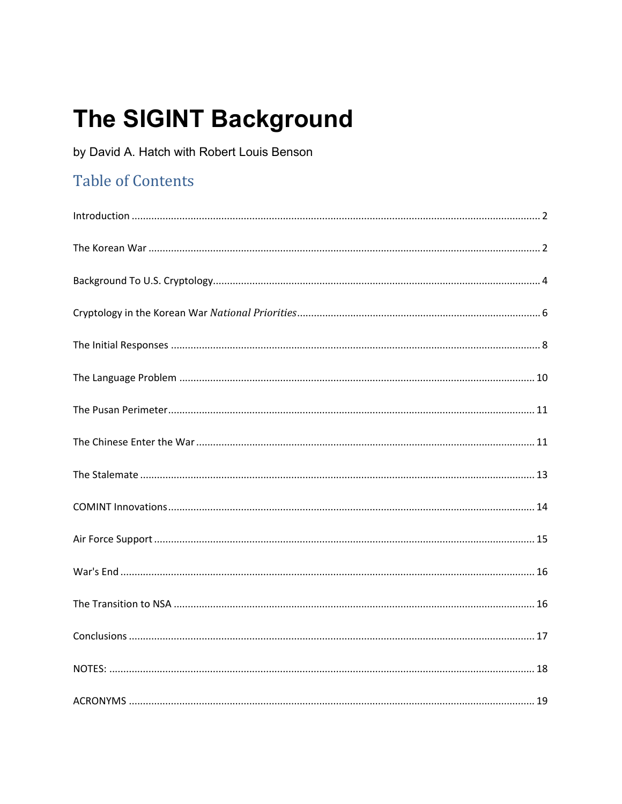# The SIGINT Background

by David A. Hatch with Robert Louis Benson

# **Table of Contents**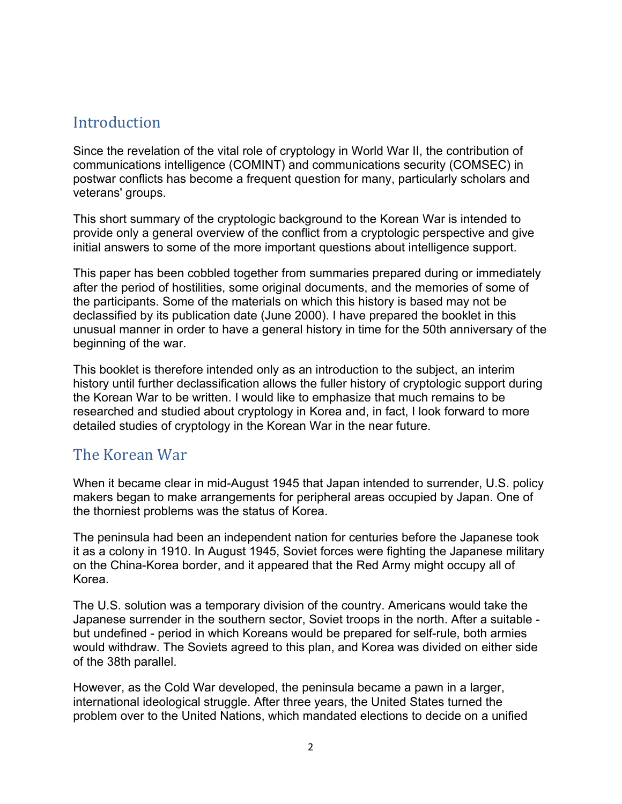#### <span id="page-1-0"></span>**Introduction**

Since the revelation of the vital role of cryptology in World War II, the contribution of communications intelligence (COMINT) and communications security (COMSEC) in postwar conflicts has become a frequent question for many, particularly scholars and veterans' groups.

This short summary of the cryptologic background to the Korean War is intended to provide only a general overview of the conflict from a cryptologic perspective and give initial answers to some of the more important questions about intelligence support.

This paper has been cobbled together from summaries prepared during or immediately after the period of hostilities, some original documents, and the memories of some of the participants. Some of the materials on which this history is based may not be declassified by its publication date (June 2000). I have prepared the booklet in this unusual manner in order to have a general history in time for the 50th anniversary of the beginning of the war.

This booklet is therefore intended only as an introduction to the subject, an interim history until further declassification allows the fuller history of cryptologic support during the Korean War to be written. I would like to emphasize that much remains to be researched and studied about cryptology in Korea and, in fact, I look forward to more detailed studies of cryptology in the Korean War in the near future.

#### <span id="page-1-1"></span>The Korean War

When it became clear in mid-August 1945 that Japan intended to surrender, U.S. policy makers began to make arrangements for peripheral areas occupied by Japan. One of the thorniest problems was the status of Korea.

The peninsula had been an independent nation for centuries before the Japanese took it as a colony in 1910. In August 1945, Soviet forces were fighting the Japanese military on the China-Korea border, and it appeared that the Red Army might occupy all of Korea.

The U.S. solution was a temporary division of the country. Americans would take the Japanese surrender in the southern sector, Soviet troops in the north. After a suitable but undefined - period in which Koreans would be prepared for self-rule, both armies would withdraw. The Soviets agreed to this plan, and Korea was divided on either side of the 38th parallel.

However, as the Cold War developed, the peninsula became a pawn in a larger, international ideological struggle. After three years, the United States turned the problem over to the United Nations, which mandated elections to decide on a unified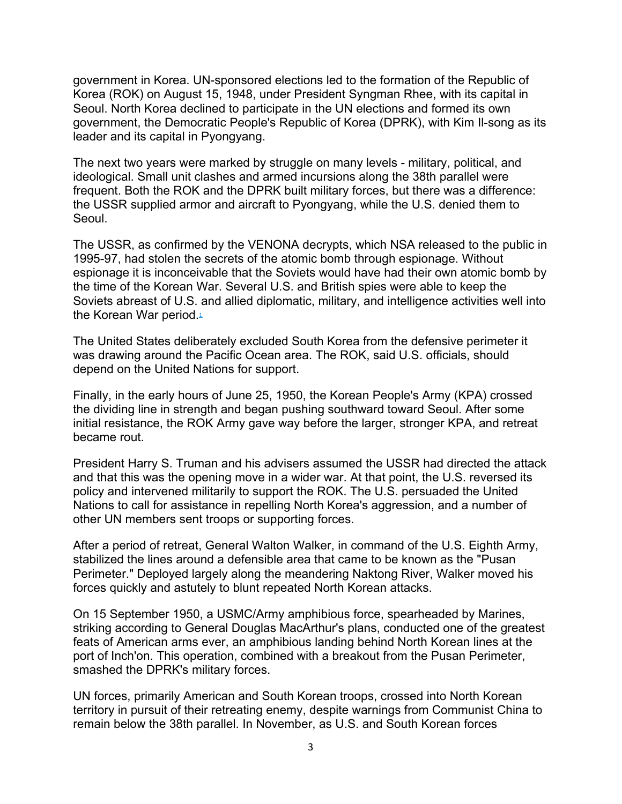government in Korea. UN-sponsored elections led to the formation of the Republic of Korea (ROK) on August 15, 1948, under President Syngman Rhee, with its capital in Seoul. North Korea declined to participate in the UN elections and formed its own government, the Democratic People's Republic of Korea (DPRK), with Kim Il-song as its leader and its capital in Pyongyang.

The next two years were marked by struggle on many levels - military, political, and ideological. Small unit clashes and armed incursions along the 38th parallel were frequent. Both the ROK and the DPRK built military forces, but there was a difference: the USSR supplied armor and aircraft to Pyongyang, while the U.S. denied them to Seoul.

The USSR, as confirmed by the VENONA decrypts, which NSA released to the public in 1995-97, had stolen the secrets of the atomic bomb through espionage. Without espionage it is inconceivable that the Soviets would have had their own atomic bomb by the time of the Korean War. Several U.S. and British spies were able to keep the Soviets abreast of U.S. and allied diplomatic, military, and intelligence activities well into the Korean War period[.](https://nsa.dod.afpims.mil/News-Features/Declassified-Documents/Korean-War/Sigint-BG/#N1)<sup>1</sup>

The United States deliberately excluded South Korea from the defensive perimeter it was drawing around the Pacific Ocean area. The ROK, said U.S. officials, should depend on the United Nations for support.

Finally, in the early hours of June 25, 1950, the Korean People's Army (KPA) crossed the dividing line in strength and began pushing southward toward Seoul. After some initial resistance, the ROK Army gave way before the larger, stronger KPA, and retreat became rout.

President Harry S. Truman and his advisers assumed the USSR had directed the attack and that this was the opening move in a wider war. At that point, the U.S. reversed its policy and intervened militarily to support the ROK. The U.S. persuaded the United Nations to call for assistance in repelling North Korea's aggression, and a number of other UN members sent troops or supporting forces.

After a period of retreat, General Walton Walker, in command of the U.S. Eighth Army, stabilized the lines around a defensible area that came to be known as the "Pusan Perimeter." Deployed largely along the meandering Naktong River, Walker moved his forces quickly and astutely to blunt repeated North Korean attacks.

On 15 September 1950, a USMC/Army amphibious force, spearheaded by Marines, striking according to General Douglas MacArthur's plans, conducted one of the greatest feats of American arms ever, an amphibious landing behind North Korean lines at the port of Inch'on. This operation, combined with a breakout from the Pusan Perimeter, smashed the DPRK's military forces.

UN forces, primarily American and South Korean troops, crossed into North Korean territory in pursuit of their retreating enemy, despite warnings from Communist China to remain below the 38th parallel. In November, as U.S. and South Korean forces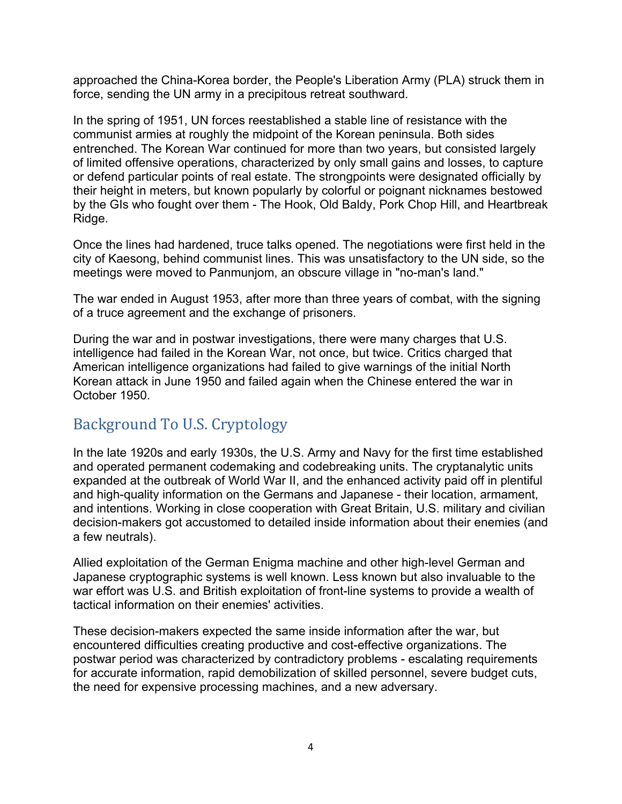approached the China-Korea border, the People's Liberation Army (PLA) struck them in force, sending the UN army in a precipitous retreat southward.

In the spring of 1951, UN forces reestablished a stable line of resistance with the communist armies at roughly the midpoint of the Korean peninsula. Both sides entrenched. The Korean War continued for more than two years, but consisted largely of limited offensive operations, characterized by only small gains and losses, to capture or defend particular points of real estate. The strongpoints were designated officially by their height in meters, but known popularly by colorful or poignant nicknames bestowed by the GIs who fought over them - The Hook, Old Baldy, Pork Chop Hill, and Heartbreak Ridge.

Once the lines had hardened, truce talks opened. The negotiations were first held in the city of Kaesong, behind communist lines. This was unsatisfactory to the UN side, so the meetings were moved to Panmunjom, an obscure village in "no-man's land."

The war ended in August 1953, after more than three years of combat, with the signing of a truce agreement and the exchange of prisoners.

During the war and in postwar investigations, there were many charges that U.S. intelligence had failed in the Korean War, not once, but twice. Critics charged that American intelligence organizations had failed to give warnings of the initial North Korean attack in June 1950 and failed again when the Chinese entered the war in October 1950.

## <span id="page-3-0"></span>Background To U.S. Cryptology

In the late 1920s and early 1930s, the U.S. Army and Navy for the first time established and operated permanent codemaking and codebreaking units. The cryptanalytic units expanded at the outbreak of World War II, and the enhanced activity paid off in plentiful and high-quality information on the Germans and Japanese - their location, armament, and intentions. Working in close cooperation with Great Britain, U.S. military and civilian decision-makers got accustomed to detailed inside information about their enemies (and a few neutrals).

Allied exploitation of the German Enigma machine and other high-level German and Japanese cryptographic systems is well known. Less known but also invaluable to the war effort was U.S. and British exploitation of front-line systems to provide a wealth of tactical information on their enemies' activities.

These decision-makers expected the same inside information after the war, but encountered difficulties creating productive and cost-effective organizations. The postwar period was characterized by contradictory problems - escalating requirements for accurate information, rapid demobilization of skilled personnel, severe budget cuts, the need for expensive processing machines, and a new adversary.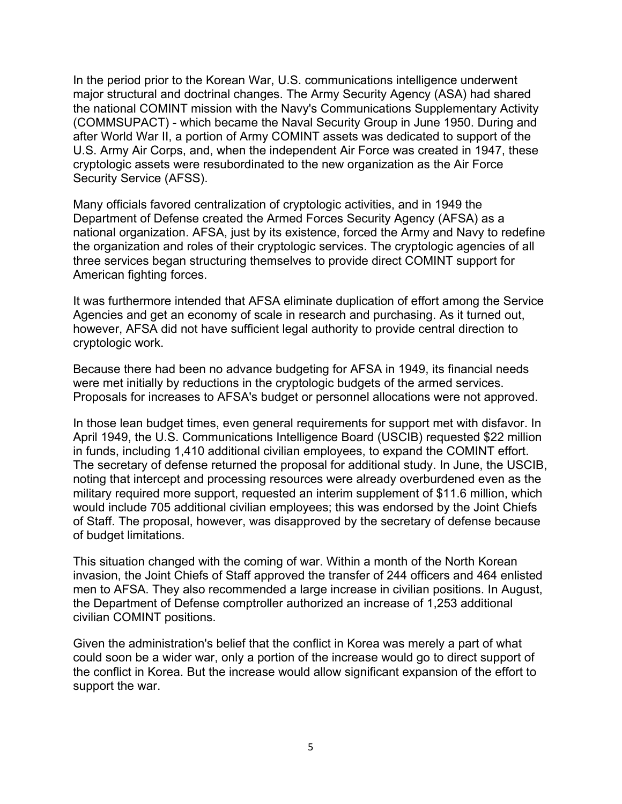In the period prior to the Korean War, U.S. communications intelligence underwent major structural and doctrinal changes. The Army Security Agency (ASA) had shared the national COMINT mission with the Navy's Communications Supplementary Activity (COMMSUPACT) - which became the Naval Security Group in June 1950. During and after World War II, a portion of Army COMINT assets was dedicated to support of the U.S. Army Air Corps, and, when the independent Air Force was created in 1947, these cryptologic assets were resubordinated to the new organization as the Air Force Security Service (AFSS).

Many officials favored centralization of cryptologic activities, and in 1949 the Department of Defense created the Armed Forces Security Agency (AFSA) as a national organization. AFSA, just by its existence, forced the Army and Navy to redefine the organization and roles of their cryptologic services. The cryptologic agencies of all three services began structuring themselves to provide direct COMINT support for American fighting forces.

It was furthermore intended that AFSA eliminate duplication of effort among the Service Agencies and get an economy of scale in research and purchasing. As it turned out, however, AFSA did not have sufficient legal authority to provide central direction to cryptologic work.

Because there had been no advance budgeting for AFSA in 1949, its financial needs were met initially by reductions in the cryptologic budgets of the armed services. Proposals for increases to AFSA's budget or personnel allocations were not approved.

In those lean budget times, even general requirements for support met with disfavor. In April 1949, the U.S. Communications Intelligence Board (USCIB) requested \$22 million in funds, including 1,410 additional civilian employees, to expand the COMINT effort. The secretary of defense returned the proposal for additional study. In June, the USCIB, noting that intercept and processing resources were already overburdened even as the military required more support, requested an interim supplement of \$11.6 million, which would include 705 additional civilian employees; this was endorsed by the Joint Chiefs of Staff. The proposal, however, was disapproved by the secretary of defense because of budget limitations.

This situation changed with the coming of war. Within a month of the North Korean invasion, the Joint Chiefs of Staff approved the transfer of 244 officers and 464 enlisted men to AFSA. They also recommended a large increase in civilian positions. In August, the Department of Defense comptroller authorized an increase of 1,253 additional civilian COMINT positions.

Given the administration's belief that the conflict in Korea was merely a part of what could soon be a wider war, only a portion of the increase would go to direct support of the conflict in Korea. But the increase would allow significant expansion of the effort to support the war.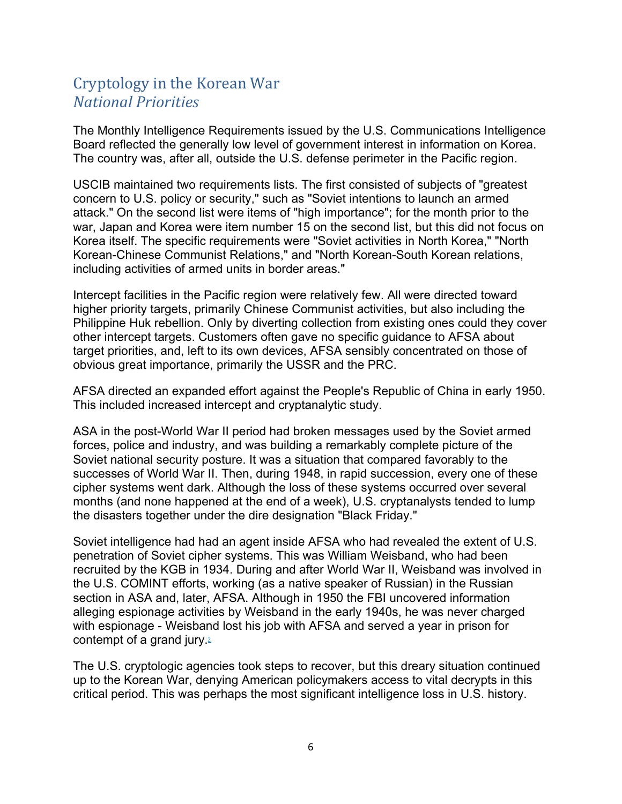# <span id="page-5-0"></span>Cryptology in the Korean War *National Priorities*

The Monthly Intelligence Requirements issued by the U.S. Communications Intelligence Board reflected the generally low level of government interest in information on Korea. The country was, after all, outside the U.S. defense perimeter in the Pacific region.

USCIB maintained two requirements lists. The first consisted of subjects of "greatest concern to U.S. policy or security," such as "Soviet intentions to launch an armed attack." On the second list were items of "high importance"; for the month prior to the war, Japan and Korea were item number 15 on the second list, but this did not focus on Korea itself. The specific requirements were "Soviet activities in North Korea," "North Korean-Chinese Communist Relations," and "North Korean-South Korean relations, including activities of armed units in border areas."

Intercept facilities in the Pacific region were relatively few. All were directed toward higher priority targets, primarily Chinese Communist activities, but also including the Philippine Huk rebellion. Only by diverting collection from existing ones could they cover other intercept targets. Customers often gave no specific guidance to AFSA about target priorities, and, left to its own devices, AFSA sensibly concentrated on those of obvious great importance, primarily the USSR and the PRC.

AFSA directed an expanded effort against the People's Republic of China in early 1950. This included increased intercept and cryptanalytic study.

ASA in the post-World War II period had broken messages used by the Soviet armed forces, police and industry, and was building a remarkably complete picture of the Soviet national security posture. It was a situation that compared favorably to the successes of World War II. Then, during 1948, in rapid succession, every one of these cipher systems went dark. Although the loss of these systems occurred over several months (and none happened at the end of a week), U.S. cryptanalysts tended to lump the disasters together under the dire designation "Black Friday."

Soviet intelligence had had an agent inside AFSA who had revealed the extent of U.S. penetration of Soviet cipher systems. This was William Weisband, who had been recruited by the KGB in 1934. During and after World War II, Weisband was involved in the U.S. COMINT efforts, working (as a native speaker of Russian) in the Russian section in ASA and, later, AFSA. Although in 1950 the FBI uncovered information alleging espionage activities by Weisband in the early 1940s, he was never charged with espionage - Weisband lost his job with AFSA and served a year in prison for contempt of a grand jury[.](https://nsa.dod.afpims.mil/News-Features/Declassified-Documents/Korean-War/Sigint-BG/#N2) $2$ 

The U.S. cryptologic agencies took steps to recover, but this dreary situation continued up to the Korean War, denying American policymakers access to vital decrypts in this critical period. This was perhaps the most significant intelligence loss in U.S. history.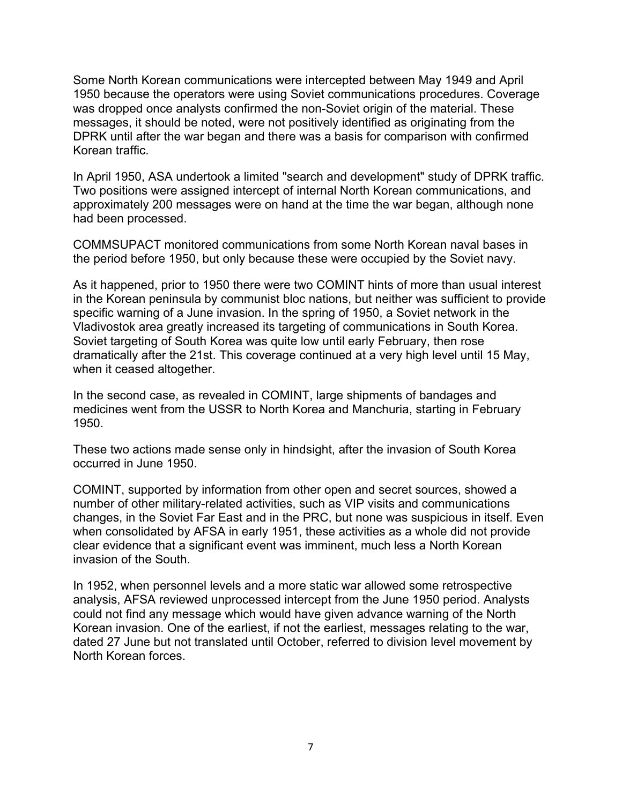Some North Korean communications were intercepted between May 1949 and April 1950 because the operators were using Soviet communications procedures. Coverage was dropped once analysts confirmed the non-Soviet origin of the material. These messages, it should be noted, were not positively identified as originating from the DPRK until after the war began and there was a basis for comparison with confirmed Korean traffic.

In April 1950, ASA undertook a limited "search and development" study of DPRK traffic. Two positions were assigned intercept of internal North Korean communications, and approximately 200 messages were on hand at the time the war began, although none had been processed.

COMMSUPACT monitored communications from some North Korean naval bases in the period before 1950, but only because these were occupied by the Soviet navy.

As it happened, prior to 1950 there were two COMINT hints of more than usual interest in the Korean peninsula by communist bloc nations, but neither was sufficient to provide specific warning of a June invasion. In the spring of 1950, a Soviet network in the Vladivostok area greatly increased its targeting of communications in South Korea. Soviet targeting of South Korea was quite low until early February, then rose dramatically after the 21st. This coverage continued at a very high level until 15 May, when it ceased altogether.

In the second case, as revealed in COMINT, large shipments of bandages and medicines went from the USSR to North Korea and Manchuria, starting in February 1950.

These two actions made sense only in hindsight, after the invasion of South Korea occurred in June 1950.

COMINT, supported by information from other open and secret sources, showed a number of other military-related activities, such as VIP visits and communications changes, in the Soviet Far East and in the PRC, but none was suspicious in itself. Even when consolidated by AFSA in early 1951, these activities as a whole did not provide clear evidence that a significant event was imminent, much less a North Korean invasion of the South.

In 1952, when personnel levels and a more static war allowed some retrospective analysis, AFSA reviewed unprocessed intercept from the June 1950 period. Analysts could not find any message which would have given advance warning of the North Korean invasion. One of the earliest, if not the earliest, messages relating to the war, dated 27 June but not translated until October, referred to division level movement by North Korean forces.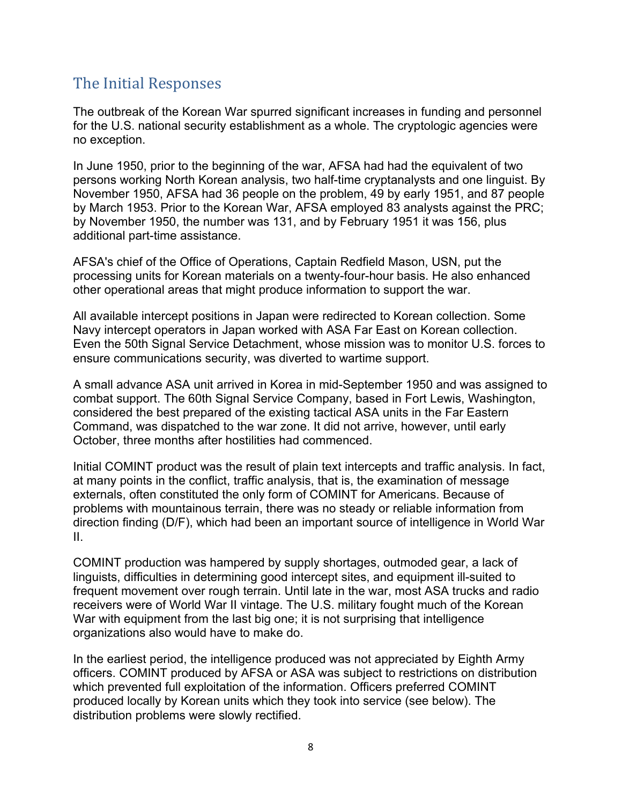## <span id="page-7-0"></span>The Initial Responses

The outbreak of the Korean War spurred significant increases in funding and personnel for the U.S. national security establishment as a whole. The cryptologic agencies were no exception.

In June 1950, prior to the beginning of the war, AFSA had had the equivalent of two persons working North Korean analysis, two half-time cryptanalysts and one linguist. By November 1950, AFSA had 36 people on the problem, 49 by early 1951, and 87 people by March 1953. Prior to the Korean War, AFSA employed 83 analysts against the PRC; by November 1950, the number was 131, and by February 1951 it was 156, plus additional part-time assistance.

AFSA's chief of the Office of Operations, Captain Redfield Mason, USN, put the processing units for Korean materials on a twenty-four-hour basis. He also enhanced other operational areas that might produce information to support the war.

All available intercept positions in Japan were redirected to Korean collection. Some Navy intercept operators in Japan worked with ASA Far East on Korean collection. Even the 50th Signal Service Detachment, whose mission was to monitor U.S. forces to ensure communications security, was diverted to wartime support.

A small advance ASA unit arrived in Korea in mid-September 1950 and was assigned to combat support. The 60th Signal Service Company, based in Fort Lewis, Washington, considered the best prepared of the existing tactical ASA units in the Far Eastern Command, was dispatched to the war zone. It did not arrive, however, until early October, three months after hostilities had commenced.

Initial COMINT product was the result of plain text intercepts and traffic analysis. In fact, at many points in the conflict, traffic analysis, that is, the examination of message externals, often constituted the only form of COMINT for Americans. Because of problems with mountainous terrain, there was no steady or reliable information from direction finding (D/F), which had been an important source of intelligence in World War II.

COMINT production was hampered by supply shortages, outmoded gear, a lack of linguists, difficulties in determining good intercept sites, and equipment ill-suited to frequent movement over rough terrain. Until late in the war, most ASA trucks and radio receivers were of World War II vintage. The U.S. military fought much of the Korean War with equipment from the last big one; it is not surprising that intelligence organizations also would have to make do.

In the earliest period, the intelligence produced was not appreciated by Eighth Army officers. COMINT produced by AFSA or ASA was subject to restrictions on distribution which prevented full exploitation of the information. Officers preferred COMINT produced locally by Korean units which they took into service (see below). The distribution problems were slowly rectified.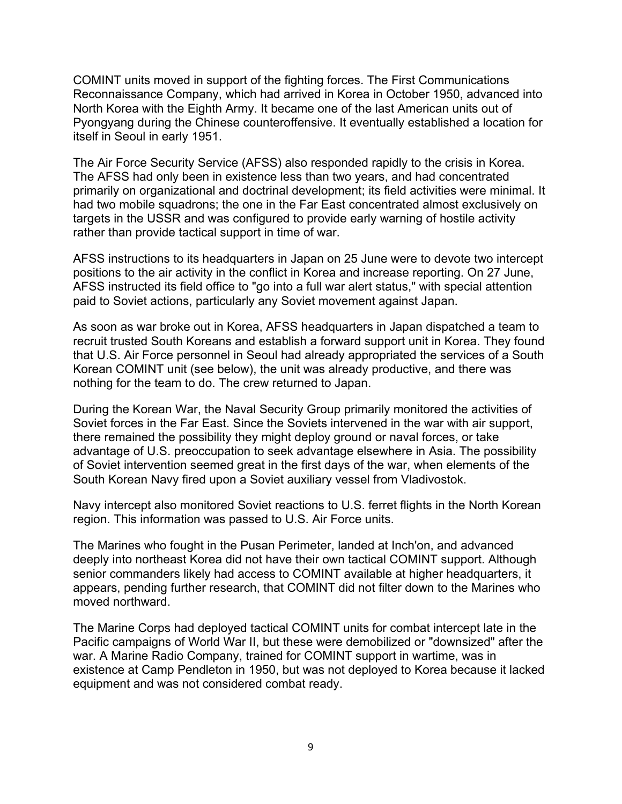COMINT units moved in support of the fighting forces. The First Communications Reconnaissance Company, which had arrived in Korea in October 1950, advanced into North Korea with the Eighth Army. It became one of the last American units out of Pyongyang during the Chinese counteroffensive. It eventually established a location for itself in Seoul in early 1951.

The Air Force Security Service (AFSS) also responded rapidly to the crisis in Korea. The AFSS had only been in existence less than two years, and had concentrated primarily on organizational and doctrinal development; its field activities were minimal. It had two mobile squadrons; the one in the Far East concentrated almost exclusively on targets in the USSR and was configured to provide early warning of hostile activity rather than provide tactical support in time of war.

AFSS instructions to its headquarters in Japan on 25 June were to devote two intercept positions to the air activity in the conflict in Korea and increase reporting. On 27 June, AFSS instructed its field office to "go into a full war alert status," with special attention paid to Soviet actions, particularly any Soviet movement against Japan.

As soon as war broke out in Korea, AFSS headquarters in Japan dispatched a team to recruit trusted South Koreans and establish a forward support unit in Korea. They found that U.S. Air Force personnel in Seoul had already appropriated the services of a South Korean COMINT unit (see below), the unit was already productive, and there was nothing for the team to do. The crew returned to Japan.

During the Korean War, the Naval Security Group primarily monitored the activities of Soviet forces in the Far East. Since the Soviets intervened in the war with air support, there remained the possibility they might deploy ground or naval forces, or take advantage of U.S. preoccupation to seek advantage elsewhere in Asia. The possibility of Soviet intervention seemed great in the first days of the war, when elements of the South Korean Navy fired upon a Soviet auxiliary vessel from Vladivostok.

Navy intercept also monitored Soviet reactions to U.S. ferret flights in the North Korean region. This information was passed to U.S. Air Force units.

The Marines who fought in the Pusan Perimeter, landed at Inch'on, and advanced deeply into northeast Korea did not have their own tactical COMINT support. Although senior commanders likely had access to COMINT available at higher headquarters, it appears, pending further research, that COMINT did not filter down to the Marines who moved northward.

The Marine Corps had deployed tactical COMINT units for combat intercept late in the Pacific campaigns of World War II, but these were demobilized or "downsized" after the war. A Marine Radio Company, trained for COMINT support in wartime, was in existence at Camp Pendleton in 1950, but was not deployed to Korea because it lacked equipment and was not considered combat ready.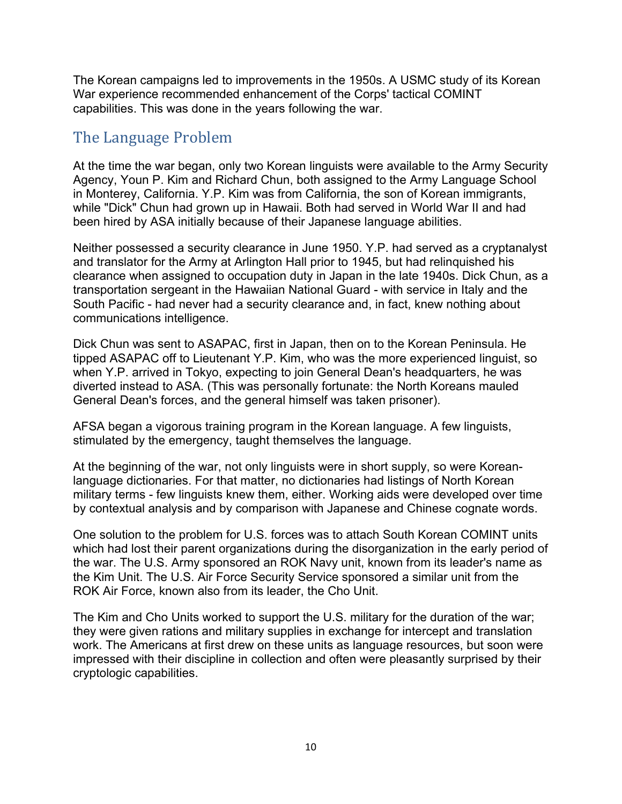The Korean campaigns led to improvements in the 1950s. A USMC study of its Korean War experience recommended enhancement of the Corps' tactical COMINT capabilities. This was done in the years following the war.

#### <span id="page-9-0"></span>The Language Problem

At the time the war began, only two Korean linguists were available to the Army Security Agency, Youn P. Kim and Richard Chun, both assigned to the Army Language School in Monterey, California. Y.P. Kim was from California, the son of Korean immigrants, while "Dick" Chun had grown up in Hawaii. Both had served in World War II and had been hired by ASA initially because of their Japanese language abilities.

Neither possessed a security clearance in June 1950. Y.P. had served as a cryptanalyst and translator for the Army at Arlington Hall prior to 1945, but had relinquished his clearance when assigned to occupation duty in Japan in the late 1940s. Dick Chun, as a transportation sergeant in the Hawaiian National Guard - with service in Italy and the South Pacific - had never had a security clearance and, in fact, knew nothing about communications intelligence.

Dick Chun was sent to ASAPAC, first in Japan, then on to the Korean Peninsula. He tipped ASAPAC off to Lieutenant Y.P. Kim, who was the more experienced linguist, so when Y.P. arrived in Tokyo, expecting to join General Dean's headquarters, he was diverted instead to ASA. (This was personally fortunate: the North Koreans mauled General Dean's forces, and the general himself was taken prisoner).

AFSA began a vigorous training program in the Korean language. A few linguists, stimulated by the emergency, taught themselves the language.

At the beginning of the war, not only linguists were in short supply, so were Koreanlanguage dictionaries. For that matter, no dictionaries had listings of North Korean military terms - few linguists knew them, either. Working aids were developed over time by contextual analysis and by comparison with Japanese and Chinese cognate words.

One solution to the problem for U.S. forces was to attach South Korean COMINT units which had lost their parent organizations during the disorganization in the early period of the war. The U.S. Army sponsored an ROK Navy unit, known from its leader's name as the Kim Unit. The U.S. Air Force Security Service sponsored a similar unit from the ROK Air Force, known also from its leader, the Cho Unit.

The Kim and Cho Units worked to support the U.S. military for the duration of the war; they were given rations and military supplies in exchange for intercept and translation work. The Americans at first drew on these units as language resources, but soon were impressed with their discipline in collection and often were pleasantly surprised by their cryptologic capabilities.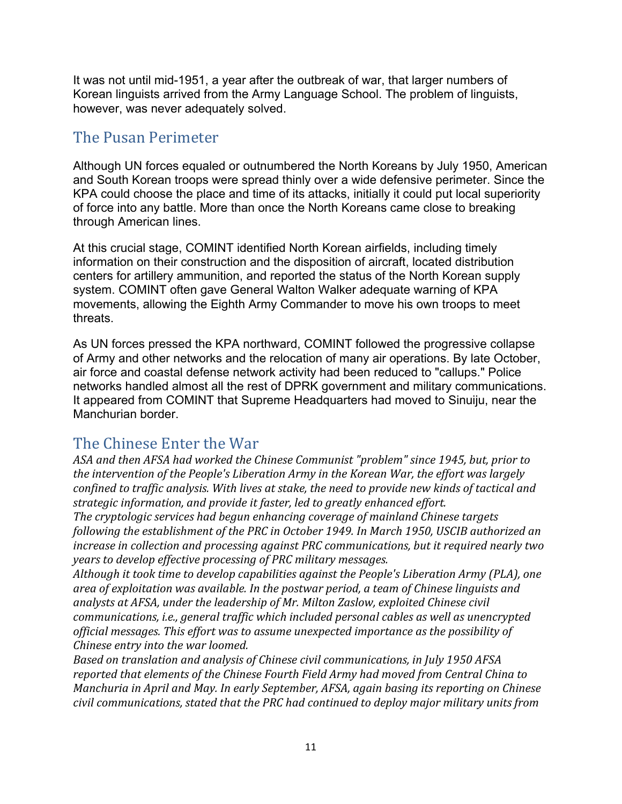It was not until mid-1951, a year after the outbreak of war, that larger numbers of Korean linguists arrived from the Army Language School. The problem of linguists, however, was never adequately solved.

### <span id="page-10-0"></span>The Pusan Perimeter

Although UN forces equaled or outnumbered the North Koreans by July 1950, American and South Korean troops were spread thinly over a wide defensive perimeter. Since the KPA could choose the place and time of its attacks, initially it could put local superiority of force into any battle. More than once the North Koreans came close to breaking through American lines.

At this crucial stage, COMINT identified North Korean airfields, including timely information on their construction and the disposition of aircraft, located distribution centers for artillery ammunition, and reported the status of the North Korean supply system. COMINT often gave General Walton Walker adequate warning of KPA movements, allowing the Eighth Army Commander to move his own troops to meet threats.

As UN forces pressed the KPA northward, COMINT followed the progressive collapse of Army and other networks and the relocation of many air operations. By late October, air force and coastal defense network activity had been reduced to "callups." Police networks handled almost all the rest of DPRK government and military communications. It appeared from COMINT that Supreme Headquarters had moved to Sinuiju, near the Manchurian border.

### <span id="page-10-1"></span>The Chinese Enter the War

*ASA and then AFSA had worked the Chinese Communist "problem" since 1945, but, prior to the intervention of the People's Liberation Army in the Korean War, the effort was largely confined to traffic analysis. With lives at stake, the need to provide new kinds of tactical and strategic information, and provide it faster, led to greatly enhanced effort.*

*The cryptologic services had begun enhancing coverage of mainland Chinese targets following the establishment of the PRC in October 1949. In March 1950, USCIB authorized an increase in collection and processing against PRC communications, but it required nearly two years to develop effective processing of PRC military messages.*

*Although it took time to develop capabilities against the People's Liberation Army (PLA), one area of exploitation was available. In the postwar period, a team of Chinese linguists and analysts at AFSA, under the leadership of Mr. Milton Zaslow, exploited Chinese civil communications, i.e., general traffic which included personal cables as well as unencrypted official messages. This effort was to assume unexpected importance as the possibility of Chinese entry into the war loomed.*

*Based on translation and analysis of Chinese civil communications, in July 1950 AFSA reported that elements of the Chinese Fourth Field Army had moved from Central China to Manchuria in April and May. In early September, AFSA, again basing its reporting on Chinese civil communications, stated that the PRC had continued to deploy major military units from*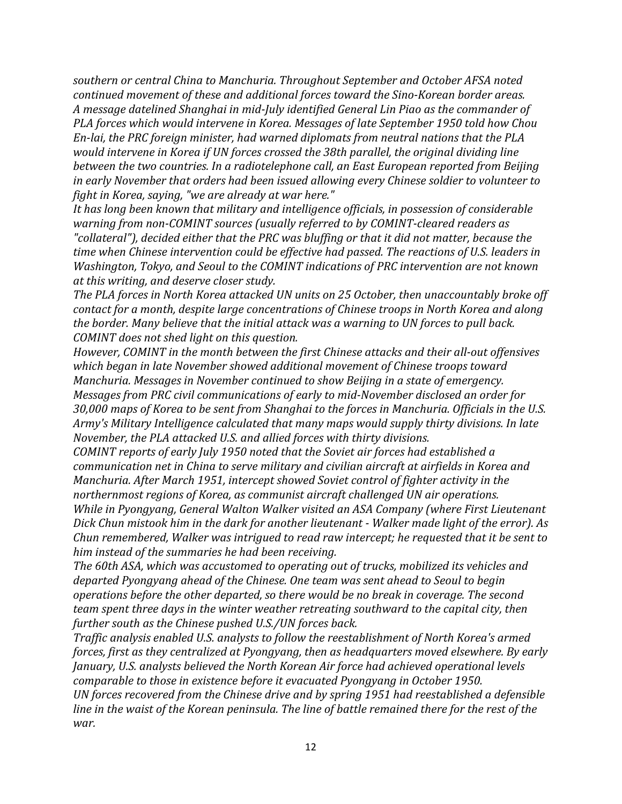*southern or central China to Manchuria. Throughout September and October AFSA noted continued movement of these and additional forces toward the Sino-Korean border areas. A message datelined Shanghai in mid-July identified General Lin Piao as the commander of PLA forces which would intervene in Korea. Messages of late September 1950 told how Chou En-lai, the PRC foreign minister, had warned diplomats from neutral nations that the PLA would intervene in Korea if UN forces crossed the 38th parallel, the original dividing line between the two countries. In a radiotelephone call, an East European reported from Beijing in early November that orders had been issued allowing every Chinese soldier to volunteer to fight in Korea, saying, "we are already at war here."*

*It has long been known that military and intelligence officials, in possession of considerable warning from non-COMINT sources (usually referred to by COMINT-cleared readers as "collateral"), decided either that the PRC was bluffing or that it did not matter, because the time when Chinese intervention could be effective had passed. The reactions of U.S. leaders in Washington, Tokyo, and Seoul to the COMINT indications of PRC intervention are not known at this writing, and deserve closer study.*

*The PLA forces in North Korea attacked UN units on 25 October, then unaccountably broke off contact for a month, despite large concentrations of Chinese troops in North Korea and along the border. Many believe that the initial attack was a warning to UN forces to pull back. COMINT does not shed light on this question.*

*However, COMINT in the month between the first Chinese attacks and their all-out offensives which began in late November showed additional movement of Chinese troops toward Manchuria. Messages in November continued to show Beijing in a state of emergency. Messages from PRC civil communications of early to mid-November disclosed an order for 30,000 maps of Korea to be sent from Shanghai to the forces in Manchuria. Officials in the U.S. Army's Military Intelligence calculated that many maps would supply thirty divisions. In late November, the PLA attacked U.S. and allied forces with thirty divisions.*

*COMINT reports of early July 1950 noted that the Soviet air forces had established a communication net in China to serve military and civilian aircraft at airfields in Korea and Manchuria. After March 1951, intercept showed Soviet control of fighter activity in the northernmost regions of Korea, as communist aircraft challenged UN air operations. While in Pyongyang, General Walton Walker visited an ASA Company (where First Lieutenant Dick Chun mistook him in the dark for another lieutenant - Walker made light of the error). As Chun remembered, Walker was intrigued to read raw intercept; he requested that it be sent to him instead of the summaries he had been receiving.*

*The 60th ASA, which was accustomed to operating out of trucks, mobilized its vehicles and departed Pyongyang ahead of the Chinese. One team was sent ahead to Seoul to begin operations before the other departed, so there would be no break in coverage. The second team spent three days in the winter weather retreating southward to the capital city, then further south as the Chinese pushed U.S./UN forces back.*

*Traffic analysis enabled U.S. analysts to follow the reestablishment of North Korea's armed forces, first as they centralized at Pyongyang, then as headquarters moved elsewhere. By early January, U.S. analysts believed the North Korean Air force had achieved operational levels comparable to those in existence before it evacuated Pyongyang in October 1950. UN forces recovered from the Chinese drive and by spring 1951 had reestablished a defensible* line in the waist of the Korean peninsula. The line of battle remained there for the rest of the *war.*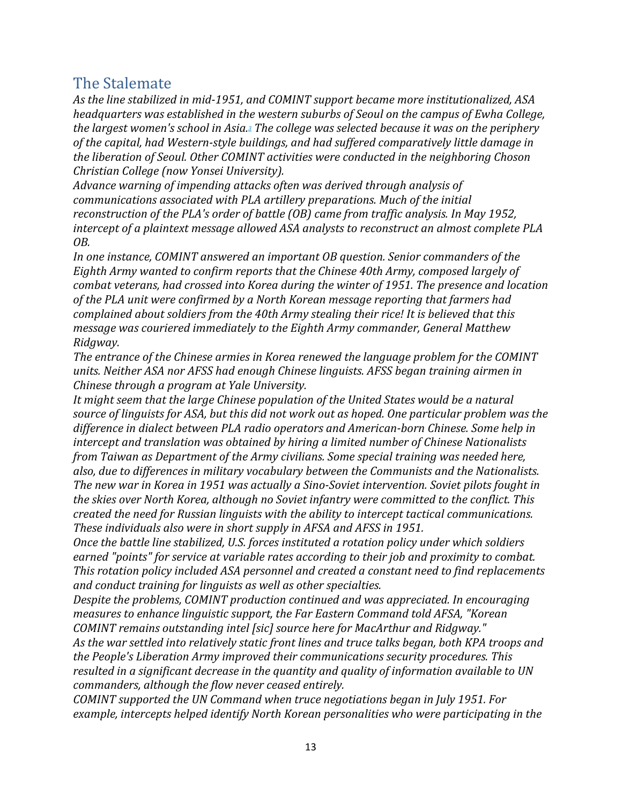#### <span id="page-12-0"></span>The Stalemate

*As the line stabilized in mid-1951, and COMINT support became more institutionalized, ASA headquarters was established in the western suburbs of Seoul on the campus of Ewha College, the largest women's school in Asi[a.3](https://nsa.dod.afpims.mil/News-Features/Declassified-Documents/Korean-War/Sigint-BG/#N3) The college was selected because it was on the periphery of the capital, had Western-style buildings, and had suffered comparatively little damage in the liberation of Seoul. Other COMINT activities were conducted in the neighboring Choson Christian College (now Yonsei University).*

*Advance warning of impending attacks often was derived through analysis of communications associated with PLA artillery preparations. Much of the initial reconstruction of the PLA's order of battle (OB) came from traffic analysis. In May 1952, intercept of a plaintext message allowed ASA analysts to reconstruct an almost complete PLA OB.*

*In one instance, COMINT answered an important OB question. Senior commanders of the Eighth Army wanted to confirm reports that the Chinese 40th Army, composed largely of combat veterans, had crossed into Korea during the winter of 1951. The presence and location of the PLA unit were confirmed by a North Korean message reporting that farmers had complained about soldiers from the 40th Army stealing their rice! It is believed that this message was couriered immediately to the Eighth Army commander, General Matthew Ridgway.*

*The entrance of the Chinese armies in Korea renewed the language problem for the COMINT units. Neither ASA nor AFSS had enough Chinese linguists. AFSS began training airmen in Chinese through a program at Yale University.*

*It might seem that the large Chinese population of the United States would be a natural source of linguists for ASA, but this did not work out as hoped. One particular problem was the difference in dialect between PLA radio operators and American-born Chinese. Some help in intercept and translation was obtained by hiring a limited number of Chinese Nationalists from Taiwan as Department of the Army civilians. Some special training was needed here, also, due to differences in military vocabulary between the Communists and the Nationalists. The new war in Korea in 1951 was actually a Sino-Soviet intervention. Soviet pilots fought in the skies over North Korea, although no Soviet infantry were committed to the conflict. This created the need for Russian linguists with the ability to intercept tactical communications. These individuals also were in short supply in AFSA and AFSS in 1951.*

*Once the battle line stabilized, U.S. forces instituted a rotation policy under which soldiers earned "points" for service at variable rates according to their job and proximity to combat. This rotation policy included ASA personnel and created a constant need to find replacements and conduct training for linguists as well as other specialties.*

*Despite the problems, COMINT production continued and was appreciated. In encouraging measures to enhance linguistic support, the Far Eastern Command told AFSA, "Korean COMINT remains outstanding intel [sic] source here for MacArthur and Ridgway."*

*As the war settled into relatively static front lines and truce talks began, both KPA troops and the People's Liberation Army improved their communications security procedures. This resulted in a significant decrease in the quantity and quality of information available to UN commanders, although the flow never ceased entirely.*

*COMINT supported the UN Command when truce negotiations began in July 1951. For example, intercepts helped identify North Korean personalities who were participating in the*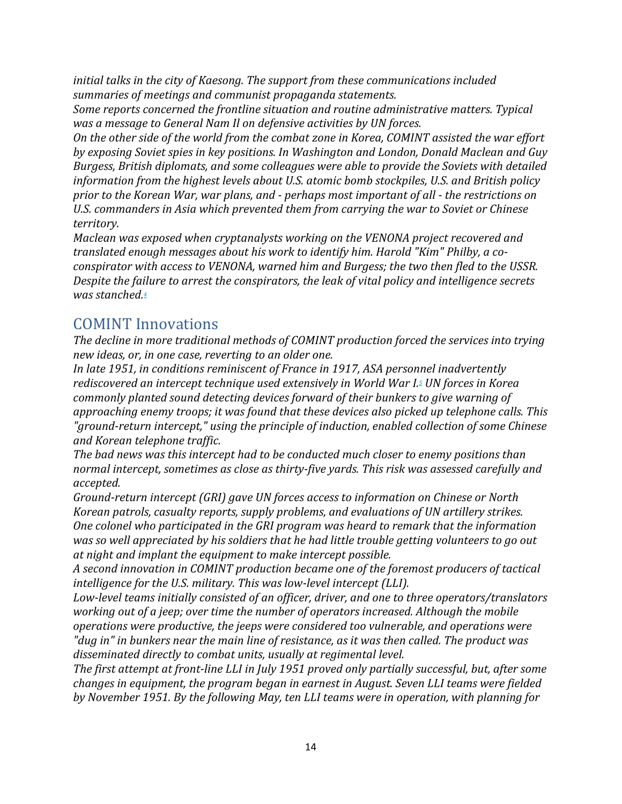*initial talks in the city of Kaesong. The support from these communications included summaries of meetings and communist propaganda statements.*

*Some reports concerned the frontline situation and routine administrative matters. Typical was a message to General Nam Il on defensive activities by UN forces.*

*On the other side of the world from the combat zone in Korea, COMINT assisted the war effort by exposing Soviet spies in key positions. In Washington and London, Donald Maclean and Guy Burgess, British diplomats, and some colleagues were able to provide the Soviets with detailed information from the highest levels about U.S. atomic bomb stockpiles, U.S. and British policy prior to the Korean War, war plans, and - perhaps most important of all - the restrictions on U.S. commanders in Asia which prevented them from carrying the war to Soviet or Chinese territory.*

*Maclean was exposed when cryptanalysts working on the VENONA project recovered and translated enough messages about his work to identify him. Harold "Kim" Philby, a coconspirator with access to VENONA, warned him and Burgess; the two then fled to the USSR. Despite the failure to arrest the conspirators, the leak of vital policy and intelligence secrets was stanche[d.4](https://nsa.dod.afpims.mil/News-Features/Declassified-Documents/Korean-War/Sigint-BG/#N4)*

### <span id="page-13-0"></span>COMINT Innovations

*The decline in more traditional methods of COMINT production forced the services into trying new ideas, or, in one case, reverting to an older one.*

*In late 1951, in conditions reminiscent of France in 1917, ASA personnel inadvertently rediscovered an intercept technique used extensively in World War [I.5](https://nsa.dod.afpims.mil/News-Features/Declassified-Documents/Korean-War/Sigint-BG/#N5) UN forces in Korea commonly planted sound detecting devices forward of their bunkers to give warning of approaching enemy troops; it was found that these devices also picked up telephone calls. This "ground-return intercept," using the principle of induction, enabled collection of some Chinese and Korean telephone traffic.*

*The bad news was this intercept had to be conducted much closer to enemy positions than normal intercept, sometimes as close as thirty-five yards. This risk was assessed carefully and accepted.*

*Ground-return intercept (GRI) gave UN forces access to information on Chinese or North Korean patrols, casualty reports, supply problems, and evaluations of UN artillery strikes. One colonel who participated in the GRI program was heard to remark that the information was so well appreciated by his soldiers that he had little trouble getting volunteers to go out at night and implant the equipment to make intercept possible.*

*A second innovation in COMINT production became one of the foremost producers of tactical intelligence for the U.S. military. This was low-level intercept (LLI).*

*Low-level teams initially consisted of an officer, driver, and one to three operators/translators working out of a jeep; over time the number of operators increased. Although the mobile operations were productive, the jeeps were considered too vulnerable, and operations were "dug in" in bunkers near the main line of resistance, as it was then called. The product was disseminated directly to combat units, usually at regimental level.*

*The first attempt at front-line LLI in July 1951 proved only partially successful, but, after some changes in equipment, the program began in earnest in August. Seven LLI teams were fielded by November 1951. By the following May, ten LLI teams were in operation, with planning for*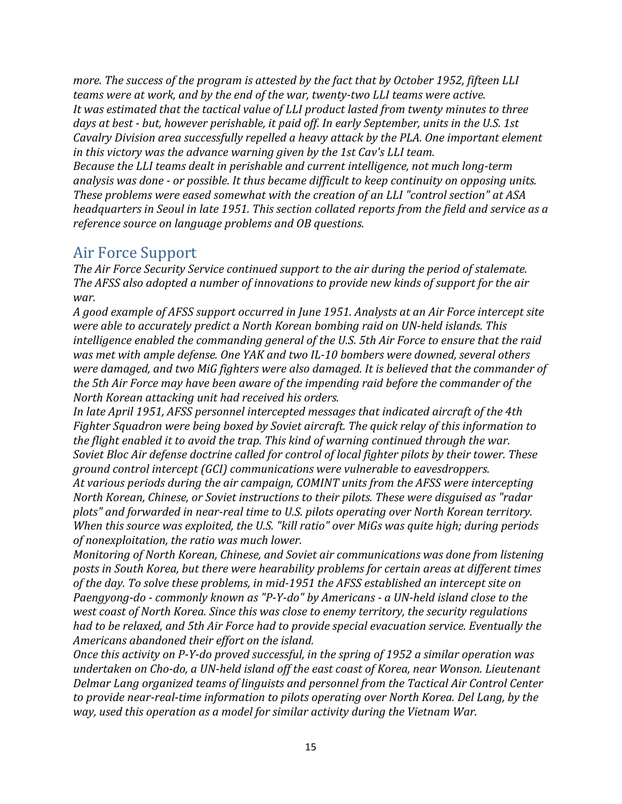*more. The success of the program is attested by the fact that by October 1952, fifteen LLI teams were at work, and by the end of the war, twenty-two LLI teams were active. It was estimated that the tactical value of LLI product lasted from twenty minutes to three days at best - but, however perishable, it paid off. In early September, units in the U.S. 1st Cavalry Division area successfully repelled a heavy attack by the PLA. One important element in this victory was the advance warning given by the 1st Cav's LLI team.*

*Because the LLI teams dealt in perishable and current intelligence, not much long-term analysis was done - or possible. It thus became difficult to keep continuity on opposing units. These problems were eased somewhat with the creation of an LLI "control section" at ASA headquarters in Seoul in late 1951. This section collated reports from the field and service as a reference source on language problems and OB questions.*

#### <span id="page-14-0"></span>Air Force Support

*The Air Force Security Service continued support to the air during the period of stalemate. The AFSS also adopted a number of innovations to provide new kinds of support for the air war.*

*A good example of AFSS support occurred in June 1951. Analysts at an Air Force intercept site were able to accurately predict a North Korean bombing raid on UN-held islands. This intelligence enabled the commanding general of the U.S. 5th Air Force to ensure that the raid was met with ample defense. One YAK and two IL-10 bombers were downed, several others were damaged, and two MiG fighters were also damaged. It is believed that the commander of the 5th Air Force may have been aware of the impending raid before the commander of the North Korean attacking unit had received his orders.*

*In late April 1951, AFSS personnel intercepted messages that indicated aircraft of the 4th Fighter Squadron were being boxed by Soviet aircraft. The quick relay of this information to the flight enabled it to avoid the trap. This kind of warning continued through the war. Soviet Bloc Air defense doctrine called for control of local fighter pilots by their tower. These ground control intercept (GCI) communications were vulnerable to eavesdroppers.*

*At various periods during the air campaign, COMINT units from the AFSS were intercepting North Korean, Chinese, or Soviet instructions to their pilots. These were disguised as "radar plots" and forwarded in near-real time to U.S. pilots operating over North Korean territory. When this source was exploited, the U.S. "kill ratio" over MiGs was quite high; during periods of nonexploitation, the ratio was much lower.*

*Monitoring of North Korean, Chinese, and Soviet air communications was done from listening posts in South Korea, but there were hearability problems for certain areas at different times of the day. To solve these problems, in mid-1951 the AFSS established an intercept site on Paengyong-do - commonly known as "P-Y-do" by Americans - a UN-held island close to the west coast of North Korea. Since this was close to enemy territory, the security regulations had to be relaxed, and 5th Air Force had to provide special evacuation service. Eventually the Americans abandoned their effort on the island.*

*Once this activity on P-Y-do proved successful, in the spring of 1952 a similar operation was undertaken on Cho-do, a UN-held island off the east coast of Korea, near Wonson. Lieutenant Delmar Lang organized teams of linguists and personnel from the Tactical Air Control Center to provide near-real-time information to pilots operating over North Korea. Del Lang, by the way, used this operation as a model for similar activity during the Vietnam War.*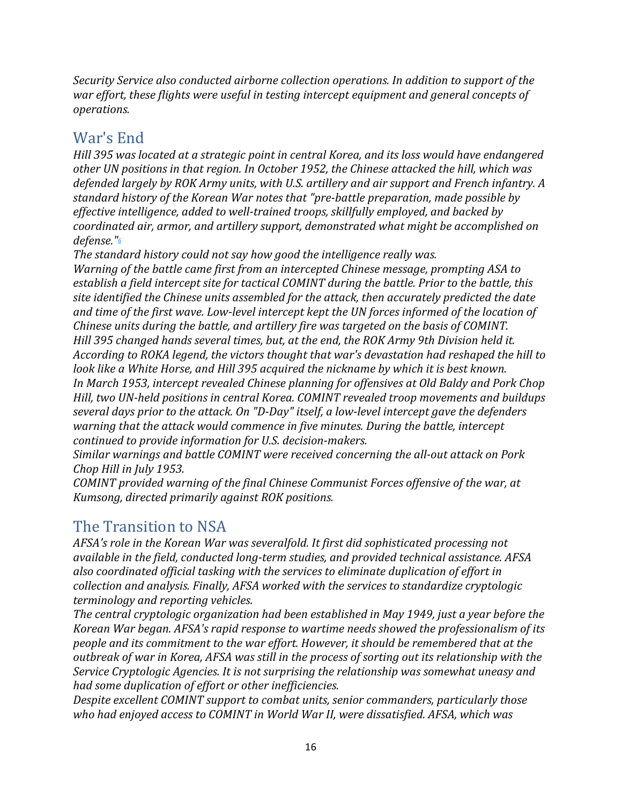*Security Service also conducted airborne collection operations. In addition to support of the war effort, these flights were useful in testing intercept equipment and general concepts of operations.*

## <span id="page-15-0"></span>War's End

*Hill 395 was located at a strategic point in central Korea, and its loss would have endangered other UN positions in that region. In October 1952, the Chinese attacked the hill, which was defended largely by ROK Army units, with U.S. artillery and air support and French infantry. A standard history of the Korean War notes that "pre-battle preparation, made possible by effective intelligence, added to well-trained troops, skillfully employed, and backed by coordinated air, armor, and artillery support, demonstrated what might be accomplished on defense.["6](https://nsa.dod.afpims.mil/News-Features/Declassified-Documents/Korean-War/Sigint-BG/#N6)*

*The standard history could not say how good the intelligence really was. Warning of the battle came first from an intercepted Chinese message, prompting ASA to establish a field intercept site for tactical COMINT during the battle. Prior to the battle, this site identified the Chinese units assembled for the attack, then accurately predicted the date and time of the first wave. Low-level intercept kept the UN forces informed of the location of Chinese units during the battle, and artillery fire was targeted on the basis of COMINT. Hill 395 changed hands several times, but, at the end, the ROK Army 9th Division held it. According to ROKA legend, the victors thought that war's devastation had reshaped the hill to look like a White Horse, and Hill 395 acquired the nickname by which it is best known. In March 1953, intercept revealed Chinese planning for offensives at Old Baldy and Pork Chop Hill, two UN-held positions in central Korea. COMINT revealed troop movements and buildups several days prior to the attack. On "D-Day" itself, a low-level intercept gave the defenders warning that the attack would commence in five minutes. During the battle, intercept continued to provide information for U.S. decision-makers.*

*Similar warnings and battle COMINT were received concerning the all-out attack on Pork Chop Hill in July 1953.*

*COMINT provided warning of the final Chinese Communist Forces offensive of the war, at Kumsong, directed primarily against ROK positions.*

# <span id="page-15-1"></span>The Transition to NSA

*AFSA's role in the Korean War was severalfold. It first did sophisticated processing not available in the field, conducted long-term studies, and provided technical assistance. AFSA also coordinated official tasking with the services to eliminate duplication of effort in collection and analysis. Finally, AFSA worked with the services to standardize cryptologic terminology and reporting vehicles.*

*The central cryptologic organization had been established in May 1949, just a year before the Korean War began. AFSA's rapid response to wartime needs showed the professionalism of its people and its commitment to the war effort. However, it should be remembered that at the outbreak of war in Korea, AFSA was still in the process of sorting out its relationship with the Service Cryptologic Agencies. It is not surprising the relationship was somewhat uneasy and had some duplication of effort or other inefficiencies.*

*Despite excellent COMINT support to combat units, senior commanders, particularly those who had enjoyed access to COMINT in World War II, were dissatisfied. AFSA, which was*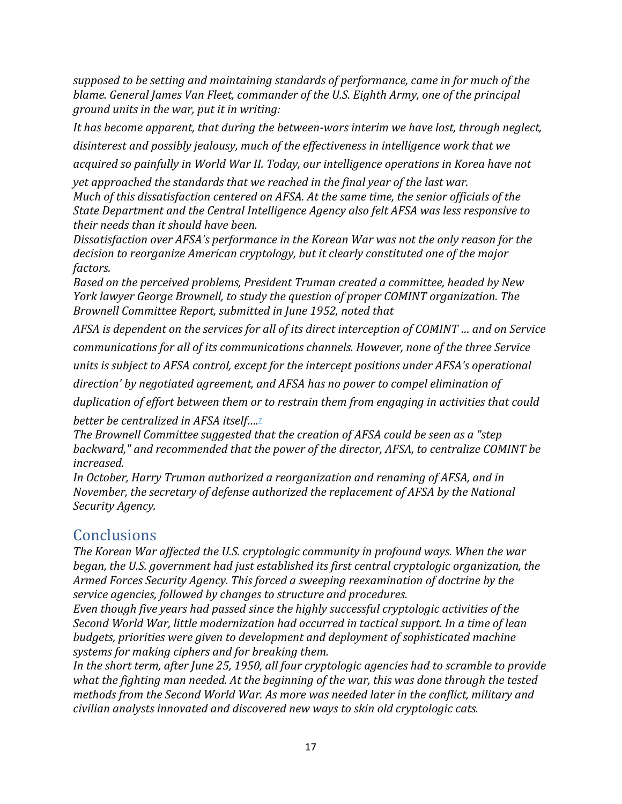*supposed to be setting and maintaining standards of performance, came in for much of the blame. General James Van Fleet, commander of the U.S. Eighth Army, one of the principal ground units in the war, put it in writing:*

*It has become apparent, that during the between-wars interim we have lost, through neglect, disinterest and possibly jealousy, much of the effectiveness in intelligence work that we*

*acquired so painfully in World War II. Today, our intelligence operations in Korea have not*

*yet approached the standards that we reached in the final year of the last war. Much of this dissatisfaction centered on AFSA. At the same time, the senior officials of the State Department and the Central Intelligence Agency also felt AFSA was less responsive to their needs than it should have been.*

*Dissatisfaction over AFSA's performance in the Korean War was not the only reason for the decision to reorganize American cryptology, but it clearly constituted one of the major factors.*

*Based on the perceived problems, President Truman created a committee, headed by New York lawyer George Brownell, to study the question of proper COMINT organization. The Brownell Committee Report, submitted in June 1952, noted that*

*AFSA is dependent on the services for all of its direct interception of COMINT … and on Service communications for all of its communications channels. However, none of the three Service*

*units is subject to AFSA control, except for the intercept positions under AFSA's operational*

*direction' by negotiated agreement, and AFSA has no power to compel elimination of*

*duplication of effort between them or to restrain them from engaging in activities that could better be centralized in AFSA itself[….7](https://nsa.dod.afpims.mil/News-Features/Declassified-Documents/Korean-War/Sigint-BG/#N7)*

*The Brownell Committee suggested that the creation of AFSA could be seen as a "step backward," and recommended that the power of the director, AFSA, to centralize COMINT be increased.*

*In October, Harry Truman authorized a reorganization and renaming of AFSA, and in November, the secretary of defense authorized the replacement of AFSA by the National Security Agency.*

#### <span id="page-16-0"></span>Conclusions

*The Korean War affected the U.S. cryptologic community in profound ways. When the war began, the U.S. government had just established its first central cryptologic organization, the Armed Forces Security Agency. This forced a sweeping reexamination of doctrine by the service agencies, followed by changes to structure and procedures.*

*Even though five years had passed since the highly successful cryptologic activities of the Second World War, little modernization had occurred in tactical support. In a time of lean budgets, priorities were given to development and deployment of sophisticated machine systems for making ciphers and for breaking them.*

*In the short term, after June 25, 1950, all four cryptologic agencies had to scramble to provide what the fighting man needed. At the beginning of the war, this was done through the tested methods from the Second World War. As more was needed later in the conflict, military and civilian analysts innovated and discovered new ways to skin old cryptologic cats.*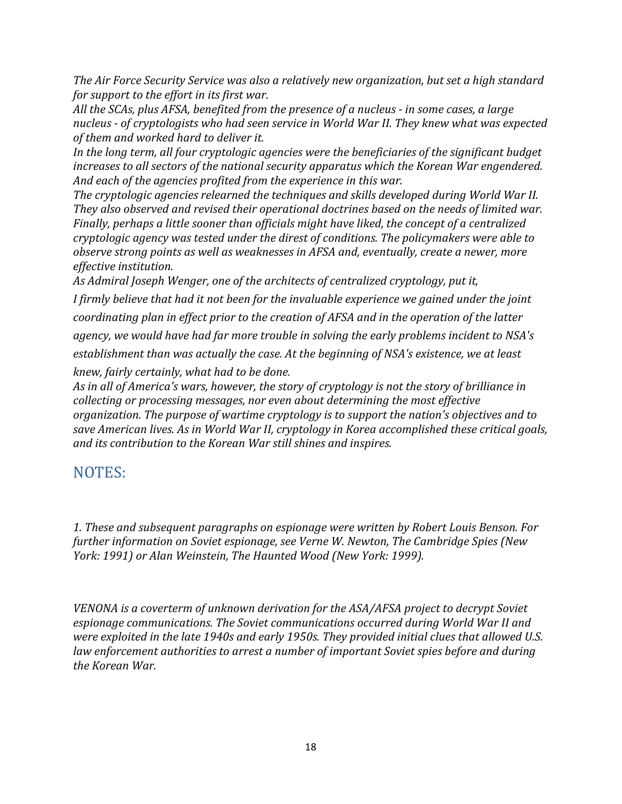*The Air Force Security Service was also a relatively new organization, but set a high standard for support to the effort in its first war.*

*All the SCAs, plus AFSA, benefited from the presence of a nucleus - in some cases, a large nucleus - of cryptologists who had seen service in World War II. They knew what was expected of them and worked hard to deliver it.*

*In the long term, all four cryptologic agencies were the beneficiaries of the significant budget increases to all sectors of the national security apparatus which the Korean War engendered. And each of the agencies profited from the experience in this war.*

*The cryptologic agencies relearned the techniques and skills developed during World War II. They also observed and revised their operational doctrines based on the needs of limited war. Finally, perhaps a little sooner than officials might have liked, the concept of a centralized cryptologic agency was tested under the direst of conditions. The policymakers were able to observe strong points as well as weaknesses in AFSA and, eventually, create a newer, more effective institution.*

*As Admiral Joseph Wenger, one of the architects of centralized cryptology, put it,*

*I firmly believe that had it not been for the invaluable experience we gained under the joint coordinating plan in effect prior to the creation of AFSA and in the operation of the latter agency, we would have had far more trouble in solving the early problems incident to NSA's establishment than was actually the case. At the beginning of NSA's existence, we at least knew, fairly certainly, what had to be done.*

*As in all of America's wars, however, the story of cryptology is not the story of brilliance in collecting or processing messages, nor even about determining the most effective organization. The purpose of wartime cryptology is to support the nation's objectives and to save American lives. As in World War II, cryptology in Korea accomplished these critical goals, and its contribution to the Korean War still shines and inspires.*

### <span id="page-17-0"></span>NOTES:

*1. These and subsequent paragraphs on espionage were written by Robert Louis Benson. For further information on Soviet espionage, see Verne W. Newton, The Cambridge Spies (New York: 1991) or Alan Weinstein, The Haunted Wood (New York: 1999).*

*VENONA is a coverterm of unknown derivation for the ASA/AFSA project to decrypt Soviet espionage communications. The Soviet communications occurred during World War II and were exploited in the late 1940s and early 1950s. They provided initial clues that allowed U.S. law enforcement authorities to arrest a number of important Soviet spies before and during the Korean War.*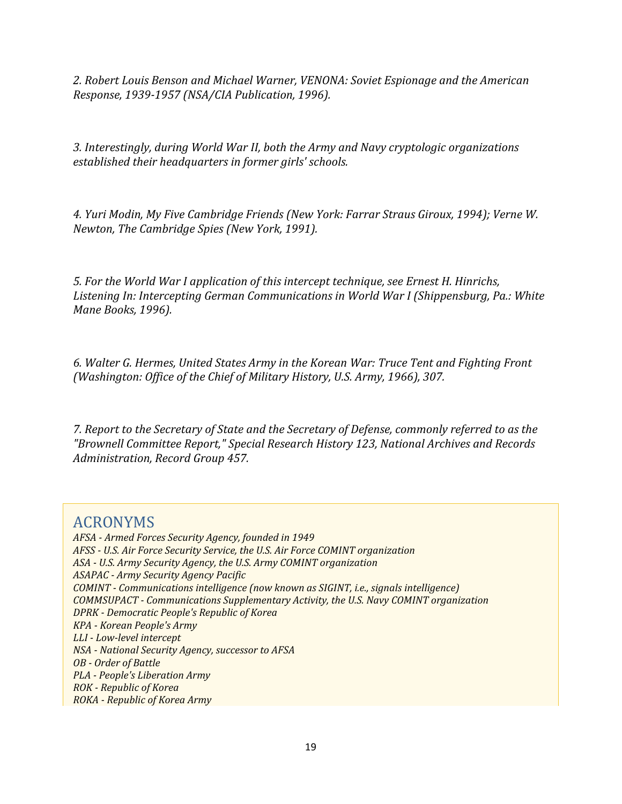*2. Robert Louis Benson and Michael Warner, VENONA: Soviet Espionage and the American Response, 1939-1957 (NSA/CIA Publication, 1996).*

*3. Interestingly, during World War II, both the Army and Navy cryptologic organizations established their headquarters in former girls' schools.*

*4. Yuri Modin, My Five Cambridge Friends (New York: Farrar Straus Giroux, 1994); Verne W. Newton, The Cambridge Spies (New York, 1991).*

*5. For the World War I application of this intercept technique, see Ernest H. Hinrichs, Listening In: Intercepting German Communications in World War I (Shippensburg, Pa.: White Mane Books, 1996).*

*6. Walter G. Hermes, United States Army in the Korean War: Truce Tent and Fighting Front (Washington: Office of the Chief of Military History, U.S. Army, 1966), 307.*

*7. Report to the Secretary of State and the Secretary of Defense, commonly referred to as the "Brownell Committee Report," Special Research History 123, National Archives and Records Administration, Record Group 457.*

#### <span id="page-18-0"></span>ACRONYMS

*AFSA - Armed Forces Security Agency, founded in 1949 AFSS - U.S. Air Force Security Service, the U.S. Air Force COMINT organization ASA - U.S. Army Security Agency, the U.S. Army COMINT organization ASAPAC - Army Security Agency Pacific COMINT - Communications intelligence (now known as SIGINT, i.e., signals intelligence) COMMSUPACT - Communications Supplementary Activity, the U.S. Navy COMINT organization DPRK - Democratic People's Republic of Korea KPA - Korean People's Army LLI - Low-level intercept NSA - National Security Agency, successor to AFSA OB - Order of Battle PLA - People's Liberation Army ROK - Republic of Korea ROKA - Republic of Korea Army*